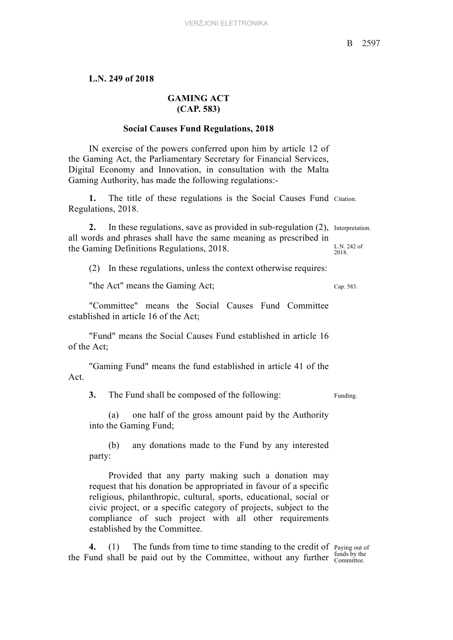## **L.N. 249 of 2018**

## **GAMING ACT (CAP. 583)**

## **Social Causes Fund Regulations, 2018**

IN exercise of the powers conferred upon him by article 12 of the Gaming Act, the Parliamentary Secretary for Financial Services, Digital Economy and Innovation, in consultation with the Malta Gaming Authority, has made the following regulations:-

**1.** The title of these regulations is the Social Causes Fund Citation. Regulations, 2018.

2. In these regulations, save as provided in sub-regulation (2), Interpretation. L.N. 242 of 2018. all words and phrases shall have the same meaning as prescribed in the Gaming Definitions Regulations, 2018.

(2) In these regulations, unless the context otherwise requires:

"the Act" means the Gaming Act; Cap. 583.

"Committee" means the Social Causes Fund Committee established in article 16 of the Act;

"Fund" means the Social Causes Fund established in article 16 of the Act;

"Gaming Fund" means the fund established in article 41 of the Act.

**3.** The Fund shall be composed of the following: Funding.

(a) one half of the gross amount paid by the Authority into the Gaming Fund;

(b) any donations made to the Fund by any interested party:

Provided that any party making such a donation may request that his donation be appropriated in favour of a specific religious, philanthropic, cultural, sports, educational, social or civic project, or a specific category of projects, subject to the compliance of such project with all other requirements established by the Committee.

4. (1) The funds from time to time standing to the credit of Paying out of the Fund shall be paid out by the Committee, without any further  $\frac{\text{tungs by the}}{\text{Commitee}}$ 

funds by the